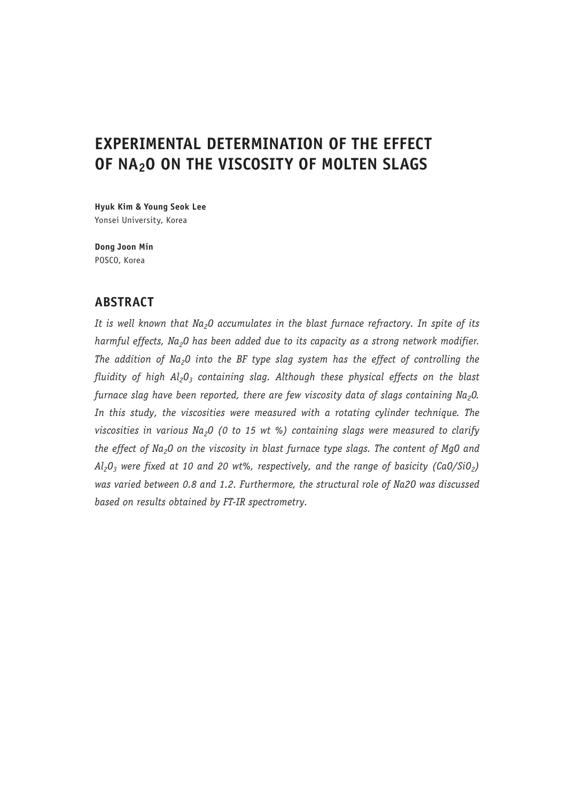# **EXPERIMENTAL DETERMINATION OF THE EFFECT OF NA2O ON THE VISCOSITY OF MOLTEN SLAGS**

**Hyuk Kim & Young Seok Lee** Yonsei University, Korea

**Dong Joon Min** POSCO, Korea

# **ABSTRACT**

It is well known that Na<sub>2</sub>O accumulates in the blast furnace refractory. In spite of its harmful effects, Na<sub>2</sub>O has been added due to its capacity as a strong network modifier. *The addition of Na2O into the BF type slag system has the effect of controlling the fluidity of high Al<sub>2</sub>O<sub>3</sub> containing slag. Although these physical effects on the blast furnace slag have been reported, there are few viscosity data of slags containing Na<sub>2</sub>0. In this study, the viscosities were measured with a rotating cylinder technique. The viscosities in various Na<sub>2</sub>O (0 to 15 wt %) containing slags were measured to clarify* the effect of Na<sub>2</sub>O on the viscosity in blast furnace type slags. The content of MgO and  $Al_2O_3$  were fixed at 10 and 20 wt%, respectively, and the range of basicity (CaO/SiO<sub>2</sub>) *was varied between 0.8 and 1.2. Furthermore, the structural role of Na2O was discussed based on results obtained by FT-IR spectrometry.*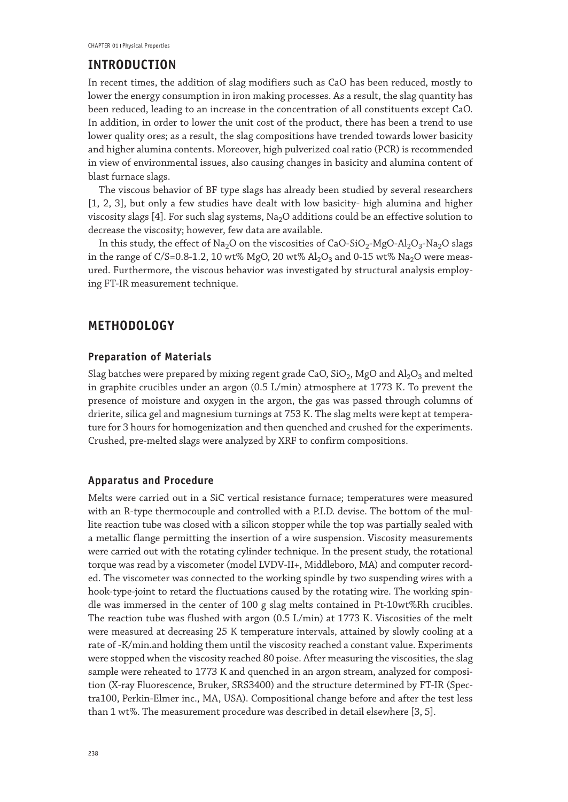## **INTRODUCTION**

In recent times, the addition of slag modifiers such as CaO has been reduced, mostly to lower the energy consumption in iron making processes. As a result, the slag quantity has been reduced, leading to an increase in the concentration of all constituents except CaO. In addition, in order to lower the unit cost of the product, there has been a trend to use lower quality ores; as a result, the slag compositions have trended towards lower basicity and higher alumina contents. Moreover, high pulverized coal ratio (PCR) is recommended in view of environmental issues, also causing changes in basicity and alumina content of blast furnace slags.

The viscous behavior of BF type slags has already been studied by several researchers [1, 2, 3], but only a few studies have dealt with low basicity- high alumina and higher viscosity slags [4]. For such slag systems, Na<sub>2</sub>O additions could be an effective solution to decrease the viscosity; however, few data are available.

In this study, the effect of Na<sub>2</sub>O on the viscosities of CaO-SiO<sub>2</sub>-MgO-Al<sub>2</sub>O<sub>3</sub>-Na<sub>2</sub>O slags in the range of C/S=0.8-1.2, 10 wt% MgO, 20 wt%  $Al_2O_3$  and 0-15 wt%  $Na_2O$  were measured. Furthermore, the viscous behavior was investigated by structural analysis employing FT-IR measurement technique.

# **METHODOLOGY**

#### **Preparation of Materials**

Slag batches were prepared by mixing regent grade CaO,  $SiO<sub>2</sub>$ , MgO and  $Al<sub>2</sub>O<sub>3</sub>$  and melted in graphite crucibles under an argon (0.5 L/min) atmosphere at 1773 K. To prevent the presence of moisture and oxygen in the argon, the gas was passed through columns of drierite, silica gel and magnesium turnings at 753 K. The slag melts were kept at temperature for 3 hours for homogenization and then quenched and crushed for the experiments. Crushed, pre-melted slags were analyzed by XRF to confirm compositions.

#### **Apparatus and Procedure**

Melts were carried out in a SiC vertical resistance furnace; temperatures were measured with an R-type thermocouple and controlled with a P.I.D. devise. The bottom of the mullite reaction tube was closed with a silicon stopper while the top was partially sealed with a metallic flange permitting the insertion of a wire suspension. Viscosity measurements were carried out with the rotating cylinder technique. In the present study, the rotational torque was read by a viscometer (model LVDV-II+, Middleboro, MA) and computer recorded. The viscometer was connected to the working spindle by two suspending wires with a hook-type-joint to retard the fluctuations caused by the rotating wire. The working spindle was immersed in the center of 100 g slag melts contained in Pt-10wt%Rh crucibles. The reaction tube was flushed with argon (0.5 L/min) at 1773 K. Viscosities of the melt were measured at decreasing 25 K temperature intervals, attained by slowly cooling at a rate of -K/min.and holding them until the viscosity reached a constant value. Experiments were stopped when the viscosity reached 80 poise. After measuring the viscosities, the slag sample were reheated to 1773 K and quenched in an argon stream, analyzed for composition (X-ray Fluorescence, Bruker, SRS3400) and the structure determined by FT-IR (Spectra100, Perkin-Elmer inc., MA, USA). Compositional change before and after the test less than 1 wt%. The measurement procedure was described in detail elsewhere [3, 5].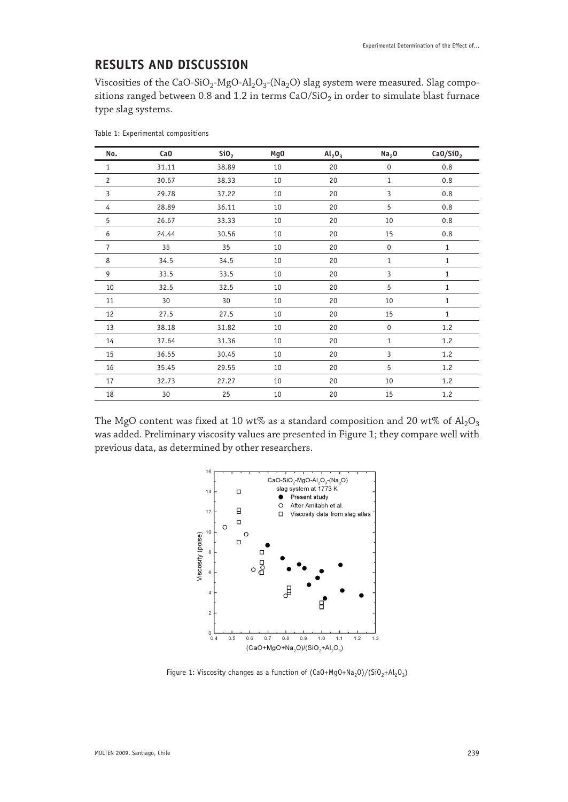# **RESULTS AND DISCUSSION**

Viscosities of the CaO-SiO<sub>2</sub>-MgO-Al<sub>2</sub>O<sub>3</sub>-(Na<sub>2</sub>O) slag system were measured. Slag compositions ranged between 0.8 and 1.2 in terms  $CaO/SiO<sub>2</sub>$  in order to simulate blast furnace type slag systems.

| No.            | CaO   | SiO <sub>2</sub> | Mg <sub>0</sub> | Al <sub>2</sub> O <sub>3</sub> | Na <sub>2</sub> 0 | CaO/SiO <sub>2</sub> |
|----------------|-------|------------------|-----------------|--------------------------------|-------------------|----------------------|
| $\mathbf{1}$   | 31.11 | 38.89            | 10              | 20                             | $\pmb{0}$         | 0.8                  |
| $\overline{c}$ | 30.67 | 38.33            | 10              | 20                             | $\mathbf{1}$      | 0.8                  |
| 3              | 29.78 | 37.22            | 10              | 20                             | 3                 | 0.8                  |
| 4              | 28.89 | 36.11            | 10              | 20                             | 5                 | 0.8                  |
| 5              | 26.67 | 33.33            | 10              | 20                             | 10                | 0.8                  |
| 6              | 24.44 | 30.56            | 10              | 20                             | 15                | 0.8                  |
| 7              | 35    | 35               | 10              | 20                             | $\pmb{0}$         | 1                    |
| 8              | 34.5  | 34.5             | 10              | 20                             | 1                 | $\mathbf{1}$         |
| 9              | 33.5  | 33.5             | 10              | 20                             | 3                 | $\mathbf{1}$         |
| 10             | 32.5  | 32.5             | 10              | 20                             | 5                 | $\mathbf{1}$         |
| 11             | 30    | 30               | 10              | 20                             | 10                | $\mathbf{1}$         |
| 12             | 27.5  | 27.5             | 10              | 20                             | 15                | $\mathbf{1}$         |
| 13             | 38.18 | 31.82            | 10              | 20                             | $\pmb{0}$         | 1.2                  |
| 14             | 37.64 | 31.36            | 10              | 20                             | $\mathbf{1}$      | 1.2                  |
| 15             | 36.55 | 30.45            | 10              | 20                             | 3                 | 1.2                  |
| 16             | 35.45 | 29.55            | 10              | 20                             | 5                 | 1.2                  |
| 17             | 32.73 | 27.27            | 10              | 20                             | 10                | 1.2                  |
| 18             | 30    | 25               | 10              | 20                             | 15                | 1.2                  |

Table 1: Experimental compositions

The MgO content was fixed at 10 wt% as a standard composition and 20 wt% of  $Al_2O_3$ was added. Preliminary viscosity values are presented in Figure 1; they compare well with previous data, as determined by other researchers.



Figure 1: Viscosity changes as a function of  $(Ca0+Mg0+Na_2O)/(SiO_2+AI_2O_3)$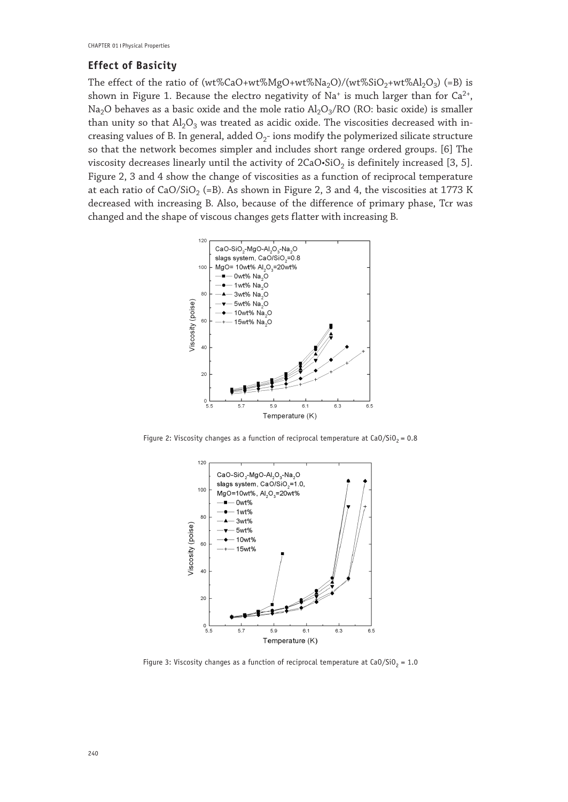#### **Effect of Basicity**

The effect of the ratio of (wt%CaO+wt%MgO+wt%Na<sub>2</sub>O)/(wt%SiO<sub>2</sub>+wt%Al<sub>2</sub>O<sub>3</sub>) (=B) is shown in Figure 1. Because the electro negativity of  $Na^+$  is much larger than for  $Ca^{2+}$ , Na<sub>2</sub>O behaves as a basic oxide and the mole ratio  $Al_2O_3/RO$  (RO: basic oxide) is smaller than unity so that  $Al_2O_3$  was treated as acidic oxide. The viscosities decreased with increasing values of B. In general, added  $O<sub>2</sub>$ -ions modify the polymerized silicate structure so that the network becomes simpler and includes short range ordered groups. [6] The viscosity decreases linearly until the activity of  $2CaO·SiO<sub>2</sub>$  is definitely increased [3, 5]. Figure 2, 3 and 4 show the change of viscosities as a function of reciprocal temperature at each ratio of CaO/SiO<sub>2</sub> (=B). As shown in Figure 2, 3 and 4, the viscosities at 1773 K decreased with increasing B. Also, because of the difference of primary phase, Tcr was changed and the shape of viscous changes gets flatter with increasing B.



Figure 2: Viscosity changes as a function of reciprocal temperature at CaO/SiO<sub>2</sub> = 0.8



Figure 3: Viscosity changes as a function of reciprocal temperature at CaO/SiO<sub>2</sub> = 1.0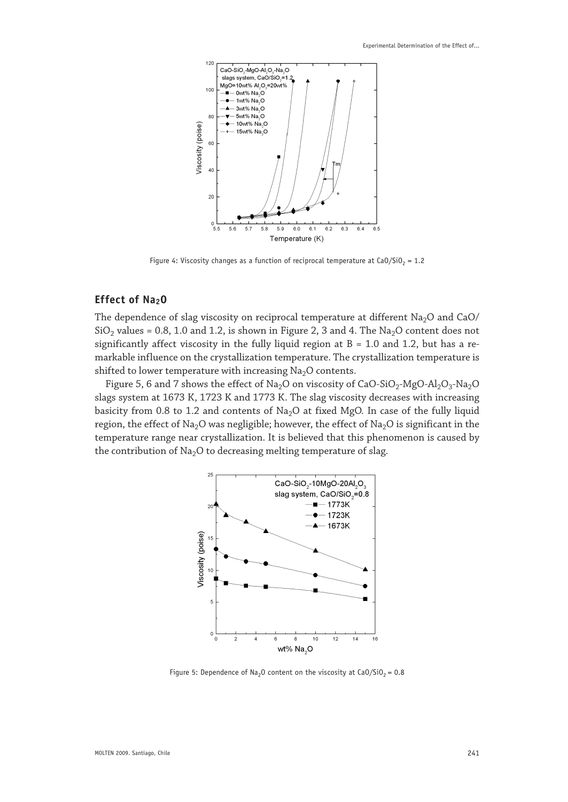

Figure 4: Viscosity changes as a function of reciprocal temperature at CaO/SiO<sub>2</sub> = 1.2

#### **Effect of Na<sub>2</sub>O**

The dependence of slag viscosity on reciprocal temperature at different  $Na<sub>2</sub>O$  and  $CaO/$  $SiO<sub>2</sub>$  values = 0.8, 1.0 and 1.2, is shown in Figure 2, 3 and 4. The Na<sub>2</sub>O content does not significantly affect viscosity in the fully liquid region at  $B = 1.0$  and 1.2, but has a remarkable influence on the crystallization temperature. The crystallization temperature is shifted to lower temperature with increasing  $Na<sub>2</sub>O$  contents.

Figure 5, 6 and 7 shows the effect of Na<sub>2</sub>O on viscosity of CaO-SiO<sub>2</sub>-MgO-Al<sub>2</sub>O<sub>3</sub>-Na<sub>2</sub>O slags system at 1673 K, 1723 K and 1773 K. The slag viscosity decreases with increasing basicity from 0.8 to 1.2 and contents of  $Na<sub>2</sub>O$  at fixed MgO. In case of the fully liquid region, the effect of Na<sub>2</sub>O was negligible; however, the effect of Na<sub>2</sub>O is significant in the temperature range near crystallization. It is believed that this phenomenon is caused by the contribution of  $Na<sub>2</sub>O$  to decreasing melting temperature of slag.



Figure 5: Dependence of Na<sub>2</sub>O content on the viscosity at CaO/SiO<sub>2</sub> = 0.8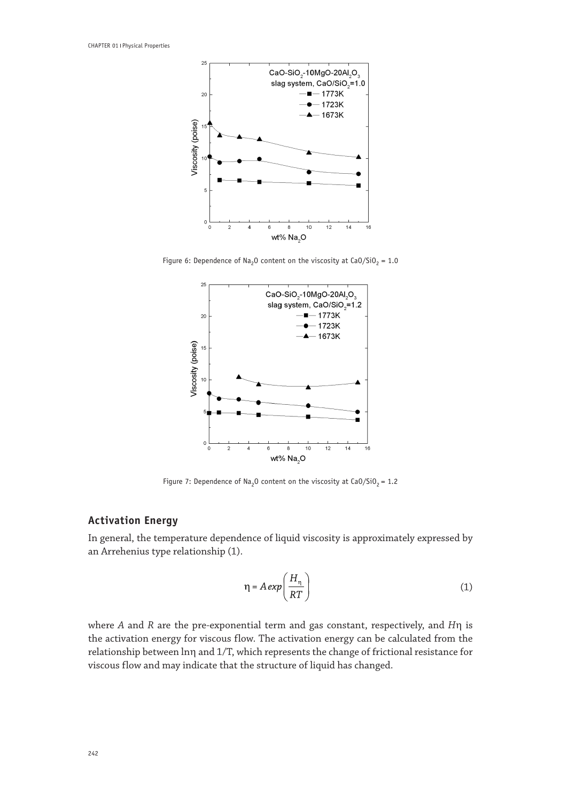

Figure 6: Dependence of Na<sub>2</sub>O content on the viscosity at CaO/SiO<sub>2</sub> = 1.0



Figure 7: Dependence of Na<sub>2</sub>O content on the viscosity at CaO/SiO<sub>2</sub> = 1.2

## **Activation Energy**

In general, the temperature dependence of liquid viscosity is approximately expressed by an Arrehenius type relationship (1).

$$
\eta = A \exp\left(\frac{H_{\eta}}{RT}\right) \tag{1}
$$

where *A* and *R* are the pre-exponential term and gas constant, respectively, and *H*η is the activation energy for viscous flow. The activation energy can be calculated from the relationship between lnη and 1/T, which represents the change of frictional resistance for viscous flow and may indicate that the structure of liquid has changed.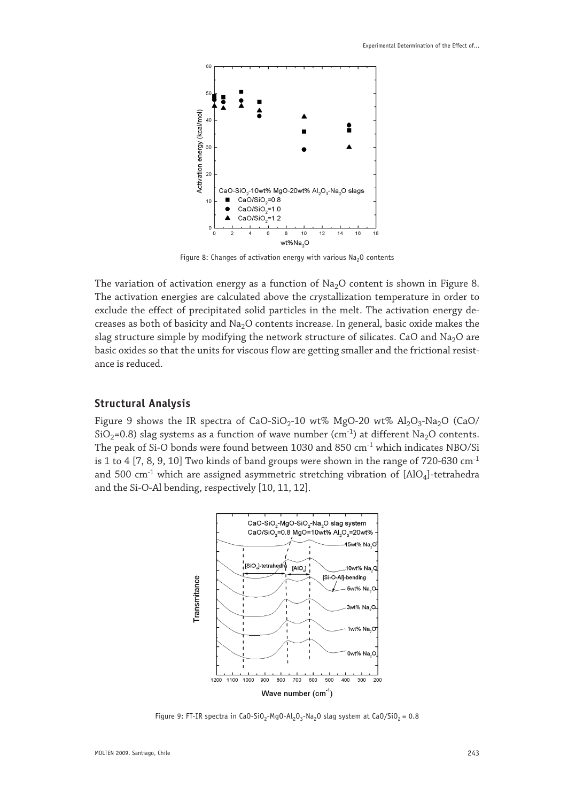

Figure 8: Changes of activation energy with various  $Na<sub>2</sub>O$  contents

The variation of activation energy as a function of  $Na<sub>2</sub>O$  content is shown in Figure 8. The activation energies are calculated above the crystallization temperature in order to exclude the effect of precipitated solid particles in the melt. The activation energy decreases as both of basicity and  $Na<sub>2</sub>O$  contents increase. In general, basic oxide makes the slag structure simple by modifying the network structure of silicates. CaO and Na<sub>2</sub>O are basic oxides so that the units for viscous flow are getting smaller and the frictional resistance is reduced.

#### **Structural Analysis**

Figure 9 shows the IR spectra of CaO-SiO<sub>2</sub>-10 wt% MgO-20 wt% Al<sub>2</sub>O<sub>3</sub>-Na<sub>2</sub>O (CaO/ SiO<sub>2</sub>=0.8) slag systems as a function of wave number (cm<sup>-1</sup>) at different Na<sub>2</sub>O contents. The peak of Si-O bonds were found between 1030 and 850 cm<sup>-1</sup> which indicates NBO/Si is 1 to 4 [7, 8, 9, 10] Two kinds of band groups were shown in the range of 720-630  $cm<sup>-1</sup>$ and 500  $cm^{-1}$  which are assigned asymmetric stretching vibration of  $[AlO<sub>4</sub>]$ -tetrahedra and the Si-O-Al bending, respectively [10, 11, 12].



Figure 9: FT-IR spectra in CaO-SiO<sub>2</sub>-MgO-Al<sub>2</sub>O<sub>3</sub>-Na<sub>2</sub>O slag system at CaO/SiO<sub>2</sub> = 0.8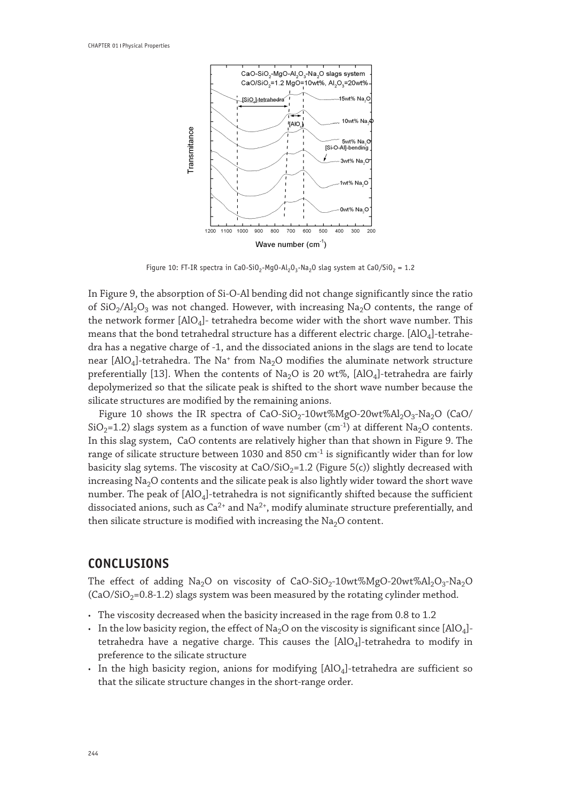

Figure 10: FT-IR spectra in CaO-SiO<sub>2</sub>-MgO-Al<sub>2</sub>O<sub>3</sub>-Na<sub>2</sub>O slag system at CaO/SiO<sub>2</sub> = 1.2

In Figure 9, the absorption of Si-O-Al bending did not change significantly since the ratio of  $SiO_2/Al_2O_3$  was not changed. However, with increasing Na<sub>2</sub>O contents, the range of the network former [AlO4]- tetrahedra become wider with the short wave number. This means that the bond tetrahedral structure has a different electric charge.  $[AlO<sub>4</sub>]$ -tetrahedra has a negative charge of -1, and the dissociated anions in the slags are tend to locate near  $[AlO<sub>4</sub>]$ -tetrahedra. The Na<sup>+</sup> from Na<sub>2</sub>O modifies the aluminate network structure preferentially [13]. When the contents of Na<sub>2</sub>O is 20 wt%, [AlO<sub>4</sub>]-tetrahedra are fairly depolymerized so that the silicate peak is shifted to the short wave number because the silicate structures are modified by the remaining anions.

Figure 10 shows the IR spectra of  $CaO-SiO<sub>2</sub>-10wt%MgO-20wt%Al<sub>2</sub>O<sub>3</sub>-Na<sub>2</sub>O$  (CaO/  $SiO<sub>2</sub>=1.2$ ) slags system as a function of wave number (cm<sup>-1</sup>) at different Na<sub>2</sub>O contents. In this slag system, CaO contents are relatively higher than that shown in Figure 9. The range of silicate structure between 1030 and 850  $cm<sup>-1</sup>$  is significantly wider than for low basicity slag sytems. The viscosity at  $CaO/SiO<sub>2</sub>=1.2$  (Figure 5(c)) slightly decreased with increasing  $Na<sub>2</sub>O$  contents and the silicate peak is also lightly wider toward the short wave number. The peak of  $[AIO_4]$ -tetrahedra is not significantly shifted because the sufficient dissociated anions, such as  $Ca^{2+}$  and  $Na^{2+}$ , modify aluminate structure preferentially, and then silicate structure is modified with increasing the  $Na<sub>2</sub>O$  content.

# **CONCLUSIONS**

The effect of adding Na<sub>2</sub>O on viscosity of CaO-SiO<sub>2</sub>-10wt%MgO-20wt%Al<sub>2</sub>O<sub>3</sub>-Na<sub>2</sub>O  $(CaO/SiO<sub>2</sub>=0.8-1.2)$  slags system was been measured by the rotating cylinder method.

- The viscosity decreased when the basicity increased in the rage from 0.8 to 1.2
- In the low basicity region, the effect of Na<sub>2</sub>O on the viscosity is significant since [AlO<sub>4</sub>]tetrahedra have a negative charge. This causes the  $[AlO<sub>4</sub>]$ -tetrahedra to modify in preference to the silicate structure
- In the high basicity region, anions for modifying  $[AIO<sub>4</sub>]$ -tetrahedra are sufficient so that the silicate structure changes in the short-range order.